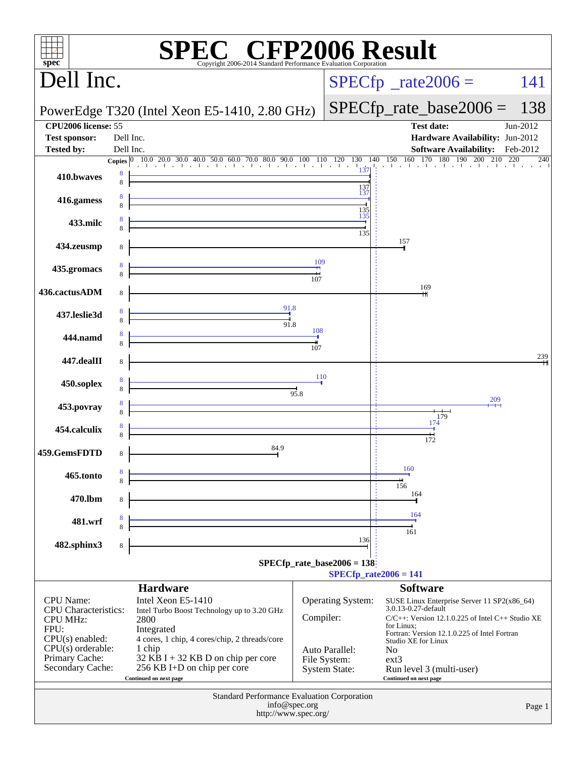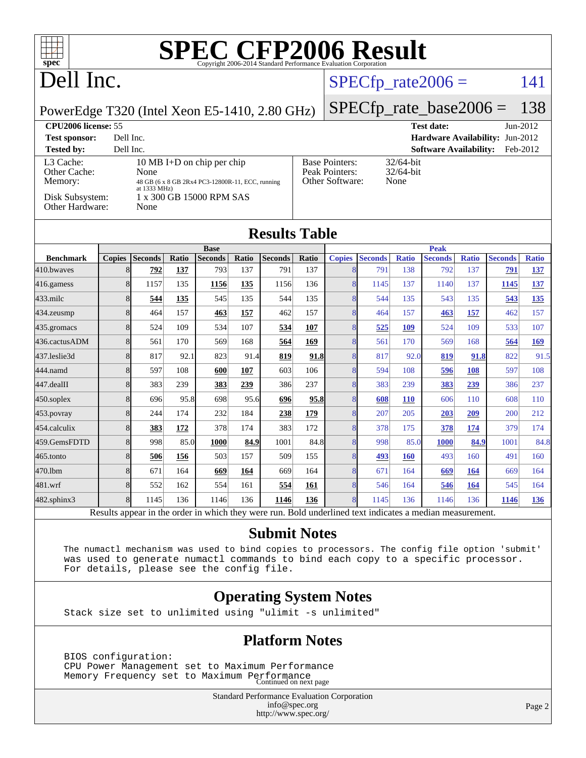## Dell Inc.

#### $SPECTp_rate2006 = 141$

PowerEdge T320 (Intel Xeon E5-1410, 2.80 GHz)

#### [SPECfp\\_rate\\_base2006 =](http://www.spec.org/auto/cpu2006/Docs/result-fields.html#SPECfpratebase2006) 138

| <b>CPU2006 license: 55</b>                              |                                                                                                                                    |                                                            | <b>Test date:</b><br>$Jun-2012$           |
|---------------------------------------------------------|------------------------------------------------------------------------------------------------------------------------------------|------------------------------------------------------------|-------------------------------------------|
| <b>Test sponsor:</b>                                    | Dell Inc.                                                                                                                          |                                                            | <b>Hardware Availability: Jun-2012</b>    |
| <b>Tested by:</b>                                       | Dell Inc.                                                                                                                          |                                                            | <b>Software Availability:</b><br>Feb-2012 |
| L3 Cache:<br>Other Cache:<br>Memory:<br>Disk Subsystem: | 10 MB I+D on chip per chip<br>None<br>48 GB (6 x 8 GB 2Rx4 PC3-12800R-11, ECC, running<br>at 1333 MHz)<br>1 x 300 GB 15000 RPM SAS | <b>Base Pointers:</b><br>Peak Pointers:<br>Other Software: | $32/64$ -bit<br>$32/64$ -bit<br>None      |
| Other Hardware:                                         | None                                                                                                                               |                                                            |                                           |

| <b>Base</b>   |                |                                                                         |                |              |                |                      | <b>Peak</b>   |                                      |                                                                                   |                |              |                |              |
|---------------|----------------|-------------------------------------------------------------------------|----------------|--------------|----------------|----------------------|---------------|--------------------------------------|-----------------------------------------------------------------------------------|----------------|--------------|----------------|--------------|
| <b>Copies</b> | <b>Seconds</b> | Ratio                                                                   | <b>Seconds</b> | Ratio        | <b>Seconds</b> | Ratio                | <b>Copies</b> | <b>Seconds</b>                       | <b>Ratio</b>                                                                      | <b>Seconds</b> | <b>Ratio</b> | <b>Seconds</b> | <b>Ratio</b> |
|               | 792            | 137                                                                     | 793            | 137          | 791            | 137                  |               | 791                                  | 138                                                                               | 792            | 137          | 791            | 137          |
|               | 1157           | 135                                                                     | 1156           | 135          | 1156           | 136                  |               | 1145                                 | 137                                                                               | 1140           | 137          | 1145           | 137          |
|               | 544            | 135                                                                     | 545            | 135          | 544            | 135                  |               | 544                                  | 135                                                                               | 543            | 135          | 543            | 135          |
|               | 464            | 157                                                                     | 463            | 157          | 462            | 157                  |               | 464                                  | 157                                                                               | 463            | 157          | 462            | 157          |
|               | 524            | 109                                                                     | 534            | 107          | 534            | 107                  |               | 525                                  | 109                                                                               | 524            | 109          | 533            | 107          |
|               | 561            | 170                                                                     | 569            | 168          | 564            | 169                  |               | 561                                  | 170                                                                               | 569            | 168          | 564            | <u>169</u>   |
|               | 817            | 92.1                                                                    | 823            |              | 819            | 91.8                 |               | 817                                  | 92.0                                                                              | 819            |              | 822            | 91.5         |
|               | 597            | 108                                                                     | 600            | 107          | 603            | 106                  |               | 594                                  | 108                                                                               | 596            | 108          | 597            | 108          |
|               | 383            | 239                                                                     | 383            | 239          | 386            | 237                  |               | 383                                  | 239                                                                               | 383            | 239          | 386            | 237          |
| 8             | 696            |                                                                         | 698            |              | 696            |                      |               | 608                                  | <b>110</b>                                                                        | 606            | 110          | 608            | 110          |
|               | 244            | 174                                                                     | 232            | 184          | 238            | 179                  |               | 207                                  | 205                                                                               | 203            | 209          | 200            | 212          |
|               | 383            | 172                                                                     | 378            | 174          | 383            | 172                  |               | 378                                  | 175                                                                               | 378            | 174          | 379            | 174          |
|               | 998            |                                                                         | 1000           |              | 1001           |                      |               | 998                                  |                                                                                   | <b>1000</b>    |              | 1001           | 84.8         |
|               | 506            | 156                                                                     | 503            | 157          | 509            | 155                  |               | 493                                  | <b>160</b>                                                                        | 493            | 160          | 491            | 160          |
| 8             | 671            | 164                                                                     | 669            | 164          | 669            | 164                  |               | 671                                  | 164                                                                               | 669            | 164          | 669            | 164          |
|               | 552            | 162                                                                     | 554            | 161          | 554            | 161                  |               | 546                                  | 164                                                                               | 546            | 164          | 545            | 164          |
|               | 1145           | 136                                                                     | 1146           | 136          | 1146           | 136                  |               | 1145                                 | 136                                                                               | 1146           | 136          | 1146           | 136          |
|               |                | 8<br>8<br>8<br>8<br>8<br>8<br>8<br>8<br>8<br>8<br>8<br>8<br>8<br>8<br>8 |                | 95.8<br>85.0 |                | 91.4<br>95.6<br>84.9 |               | <b>Results Table</b><br>95.8<br>84.8 | 8<br>8<br>8<br>8<br>8<br>8<br>8<br>8<br>8<br>8<br>8<br>8<br>8<br>8<br>8<br>8<br>8 |                | 85.0         |                | 91.8<br>84.9 |

Results appear in the [order in which they were run.](http://www.spec.org/auto/cpu2006/Docs/result-fields.html#RunOrder) Bold underlined text [indicates a median measurement.](http://www.spec.org/auto/cpu2006/Docs/result-fields.html#Median)

#### **[Submit Notes](http://www.spec.org/auto/cpu2006/Docs/result-fields.html#SubmitNotes)**

 The numactl mechanism was used to bind copies to processors. The config file option 'submit' was used to generate numactl commands to bind each copy to a specific processor. For details, please see the config file.

#### **[Operating System Notes](http://www.spec.org/auto/cpu2006/Docs/result-fields.html#OperatingSystemNotes)**

Stack size set to unlimited using "ulimit -s unlimited"

#### **[Platform Notes](http://www.spec.org/auto/cpu2006/Docs/result-fields.html#PlatformNotes)**

 BIOS configuration: CPU Power Management set to Maximum Performance Memory Frequency set to Maximum Performance Continued on next page

> Standard Performance Evaluation Corporation [info@spec.org](mailto:info@spec.org) <http://www.spec.org/>

Page 2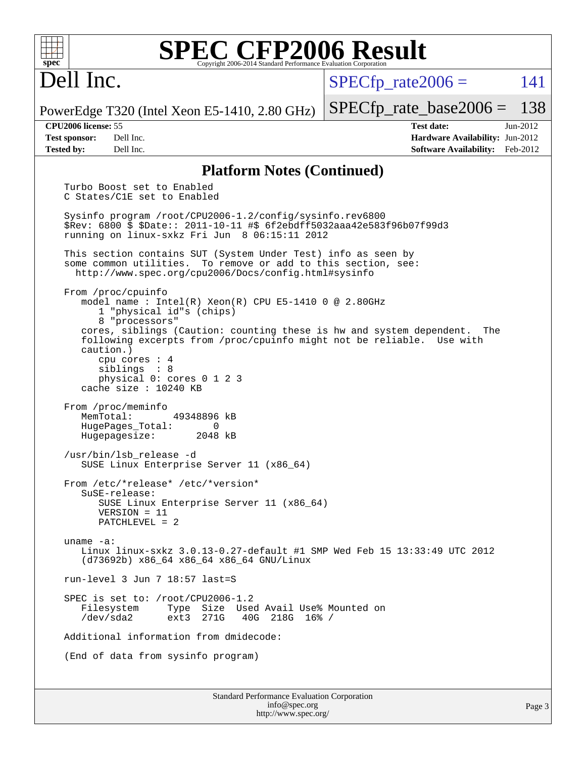Dell Inc.

 $SPECTp\_rate2006 = 141$ 

PowerEdge T320 (Intel Xeon E5-1410, 2.80 GHz)

[SPECfp\\_rate\\_base2006 =](http://www.spec.org/auto/cpu2006/Docs/result-fields.html#SPECfpratebase2006) 138

**[CPU2006 license:](http://www.spec.org/auto/cpu2006/Docs/result-fields.html#CPU2006license)** 55 **[Test date:](http://www.spec.org/auto/cpu2006/Docs/result-fields.html#Testdate)** Jun-2012 **[Test sponsor:](http://www.spec.org/auto/cpu2006/Docs/result-fields.html#Testsponsor)** Dell Inc. **[Hardware Availability:](http://www.spec.org/auto/cpu2006/Docs/result-fields.html#HardwareAvailability)** Jun-2012 **[Tested by:](http://www.spec.org/auto/cpu2006/Docs/result-fields.html#Testedby)** Dell Inc. **[Software Availability:](http://www.spec.org/auto/cpu2006/Docs/result-fields.html#SoftwareAvailability)** Feb-2012

#### **[Platform Notes \(Continued\)](http://www.spec.org/auto/cpu2006/Docs/result-fields.html#PlatformNotes)**

 Turbo Boost set to Enabled C States/C1E set to Enabled Sysinfo program /root/CPU2006-1.2/config/sysinfo.rev6800 \$Rev: 6800 \$ \$Date:: 2011-10-11 #\$ 6f2ebdff5032aaa42e583f96b07f99d3 running on linux-sxkz Fri Jun 8 06:15:11 2012 This section contains SUT (System Under Test) info as seen by some common utilities. To remove or add to this section, see: <http://www.spec.org/cpu2006/Docs/config.html#sysinfo> From /proc/cpuinfo model name : Intel(R)  $Xeon(R)$  CPU E5-1410 0 @ 2.80GHz 1 "physical id"s (chips) 8 "processors" cores, siblings (Caution: counting these is hw and system dependent. The following excerpts from /proc/cpuinfo might not be reliable. Use with caution.) cpu cores : 4 siblings : 8 physical 0: cores 0 1 2 3 cache size : 10240 KB From /proc/meminfo MemTotal: 49348896 kB HugePages\_Total: 0 Hugepagesize: 2048 kB /usr/bin/lsb\_release -d SUSE Linux Enterprise Server 11 (x86\_64) From /etc/\*release\* /etc/\*version\* SuSE-release: SUSE Linux Enterprise Server 11 (x86\_64) VERSION = 11 PATCHLEVEL = 2 uname -a: Linux linux-sxkz 3.0.13-0.27-default #1 SMP Wed Feb 15 13:33:49 UTC 2012 (d73692b) x86\_64 x86\_64 x86\_64 GNU/Linux run-level 3 Jun 7 18:57 last=S SPEC is set to: /root/CPU2006-1.2 Filesystem Type Size Used Avail Use% Mounted on /dev/sda2 ext3 271G 40G 218G 16% / Additional information from dmidecode: (End of data from sysinfo program)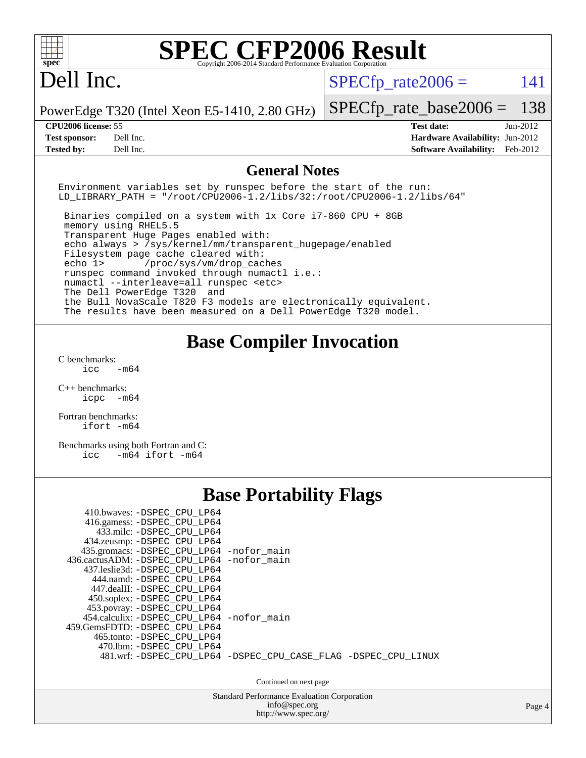| <b>SPEC CFP2006 Result</b><br>spec<br>Copyright 2006-2014 Standard Performance Evaluation Corporation                                                                                                                                                                                                                                                                                                                                                                                                                                                                                                               |                                                                                                               |
|---------------------------------------------------------------------------------------------------------------------------------------------------------------------------------------------------------------------------------------------------------------------------------------------------------------------------------------------------------------------------------------------------------------------------------------------------------------------------------------------------------------------------------------------------------------------------------------------------------------------|---------------------------------------------------------------------------------------------------------------|
| Dell Inc.                                                                                                                                                                                                                                                                                                                                                                                                                                                                                                                                                                                                           | $SPECfp_{rate}2006 =$<br>141                                                                                  |
| PowerEdge T320 (Intel Xeon E5-1410, 2.80 GHz)                                                                                                                                                                                                                                                                                                                                                                                                                                                                                                                                                                       | 138<br>$SPECfp\_rate\_base2006 =$                                                                             |
| CPU2006 license: 55<br>Dell Inc.<br><b>Test sponsor:</b><br><b>Tested by:</b><br>Dell Inc.                                                                                                                                                                                                                                                                                                                                                                                                                                                                                                                          | <b>Test date:</b><br>Jun-2012<br>Hardware Availability: Jun-2012<br><b>Software Availability:</b><br>Feb-2012 |
| <b>General Notes</b>                                                                                                                                                                                                                                                                                                                                                                                                                                                                                                                                                                                                |                                                                                                               |
| Environment variables set by runspec before the start of the run:<br>$LD_LIBRARY_PATH = "/root/CPU2006-1.2/libs/32://root/CPU2006-1.2/libs/64"$                                                                                                                                                                                                                                                                                                                                                                                                                                                                     |                                                                                                               |
| Binaries compiled on a system with 1x Core i7-860 CPU + 8GB<br>memory using RHEL5.5<br>Transparent Huge Pages enabled with:<br>echo always > /sys/kernel/mm/transparent_hugepage/enabled<br>Filesystem page cache cleared with:<br>echo 1><br>/proc/sys/vm/drop_caches<br>runspec command invoked through numactl i.e.:<br>numactl --interleave=all runspec <etc><br/>The Dell PowerEdge T320<br/>and<br/>the Bull NovaScale T820 F3 models are electronically equivalent.<br/>The results have been measured on a Dell PowerEdge T320 model.</etc>                                                                 |                                                                                                               |
| <b>Base Compiler Invocation</b>                                                                                                                                                                                                                                                                                                                                                                                                                                                                                                                                                                                     |                                                                                                               |
| C benchmarks:<br>$-m64$<br>icc                                                                                                                                                                                                                                                                                                                                                                                                                                                                                                                                                                                      |                                                                                                               |
| $C_{++}$ benchmarks:<br>icpc -m64                                                                                                                                                                                                                                                                                                                                                                                                                                                                                                                                                                                   |                                                                                                               |
| Fortran benchmarks:<br>ifort -m64                                                                                                                                                                                                                                                                                                                                                                                                                                                                                                                                                                                   |                                                                                                               |
| Benchmarks using both Fortran and C:<br>icc<br>$-m64$ ifort $-m64$                                                                                                                                                                                                                                                                                                                                                                                                                                                                                                                                                  |                                                                                                               |
| <b>Base Portability Flags</b>                                                                                                                                                                                                                                                                                                                                                                                                                                                                                                                                                                                       |                                                                                                               |
| 410.bwaves: - DSPEC_CPU_LP64<br>416.gamess: -DSPEC_CPU_LP64<br>433.milc: -DSPEC_CPU_LP64<br>434.zeusmp: - DSPEC_CPU_LP64<br>435.gromacs: -DSPEC_CPU_LP64 -nofor_main<br>436.cactusADM: -DSPEC_CPU_LP64 -nofor_main<br>437.leslie3d: -DSPEC_CPU_LP64<br>444.namd: -DSPEC_CPU_LP64<br>447.dealII: -DSPEC_CPU_LP64<br>450.soplex: - DSPEC_CPU_LP64<br>453.povray: -DSPEC_CPU_LP64<br>454.calculix: -DSPEC_CPU_LP64 -nofor_main<br>459.GemsFDTD: - DSPEC_CPU_LP64<br>465.tonto: -DSPEC_CPU_LP64<br>470.1bm: -DSPEC_CPU_LP64<br>481.wrf: -DSPEC_CPU_LP64 -DSPEC_CPU_CASE_FLAG -DSPEC_CPU_LINUX<br>Continued on next page |                                                                                                               |
| Standard Performance Evaluation Corporation<br>info@spec.org<br>http://www.spec.org/                                                                                                                                                                                                                                                                                                                                                                                                                                                                                                                                | Page 4                                                                                                        |
|                                                                                                                                                                                                                                                                                                                                                                                                                                                                                                                                                                                                                     |                                                                                                               |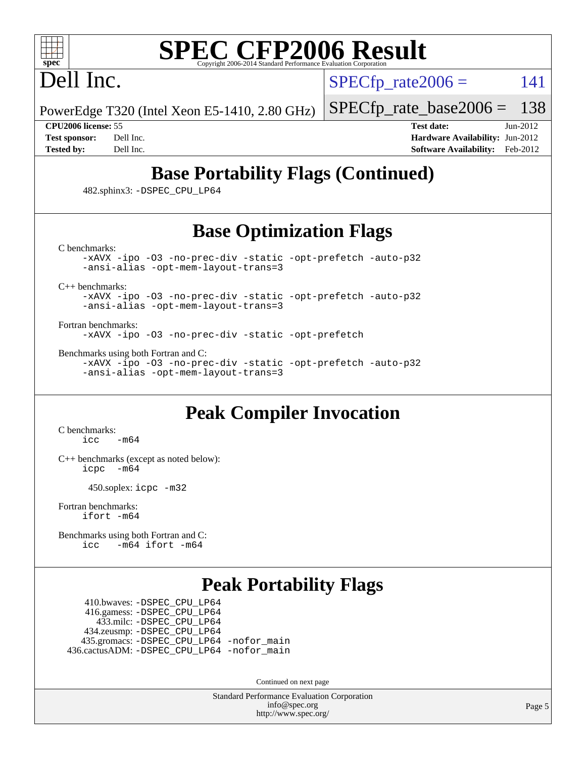

## Dell Inc.

 $SPECTp\_rate2006 = 141$ 

PowerEdge T320 (Intel Xeon E5-1410, 2.80 GHz)

[SPECfp\\_rate\\_base2006 =](http://www.spec.org/auto/cpu2006/Docs/result-fields.html#SPECfpratebase2006) 138

**[CPU2006 license:](http://www.spec.org/auto/cpu2006/Docs/result-fields.html#CPU2006license)** 55 **[Test date:](http://www.spec.org/auto/cpu2006/Docs/result-fields.html#Testdate)** Jun-2012 **[Test sponsor:](http://www.spec.org/auto/cpu2006/Docs/result-fields.html#Testsponsor)** Dell Inc. **[Hardware Availability:](http://www.spec.org/auto/cpu2006/Docs/result-fields.html#HardwareAvailability)** Jun-2012 **[Tested by:](http://www.spec.org/auto/cpu2006/Docs/result-fields.html#Testedby)** Dell Inc. **[Software Availability:](http://www.spec.org/auto/cpu2006/Docs/result-fields.html#SoftwareAvailability)** Feb-2012

## **[Base Portability Flags \(Continued\)](http://www.spec.org/auto/cpu2006/Docs/result-fields.html#BasePortabilityFlags)**

482.sphinx3: [-DSPEC\\_CPU\\_LP64](http://www.spec.org/cpu2006/results/res2012q3/cpu2006-20120730-23944.flags.html#suite_basePORTABILITY482_sphinx3_DSPEC_CPU_LP64)

## **[Base Optimization Flags](http://www.spec.org/auto/cpu2006/Docs/result-fields.html#BaseOptimizationFlags)**

[C benchmarks](http://www.spec.org/auto/cpu2006/Docs/result-fields.html#Cbenchmarks):

[-xAVX](http://www.spec.org/cpu2006/results/res2012q3/cpu2006-20120730-23944.flags.html#user_CCbase_f-xAVX) [-ipo](http://www.spec.org/cpu2006/results/res2012q3/cpu2006-20120730-23944.flags.html#user_CCbase_f-ipo) [-O3](http://www.spec.org/cpu2006/results/res2012q3/cpu2006-20120730-23944.flags.html#user_CCbase_f-O3) [-no-prec-div](http://www.spec.org/cpu2006/results/res2012q3/cpu2006-20120730-23944.flags.html#user_CCbase_f-no-prec-div) [-static](http://www.spec.org/cpu2006/results/res2012q3/cpu2006-20120730-23944.flags.html#user_CCbase_f-static) [-opt-prefetch](http://www.spec.org/cpu2006/results/res2012q3/cpu2006-20120730-23944.flags.html#user_CCbase_f-opt-prefetch) [-auto-p32](http://www.spec.org/cpu2006/results/res2012q3/cpu2006-20120730-23944.flags.html#user_CCbase_f-auto-p32) [-ansi-alias](http://www.spec.org/cpu2006/results/res2012q3/cpu2006-20120730-23944.flags.html#user_CCbase_f-ansi-alias) [-opt-mem-layout-trans=3](http://www.spec.org/cpu2006/results/res2012q3/cpu2006-20120730-23944.flags.html#user_CCbase_f-opt-mem-layout-trans_a7b82ad4bd7abf52556d4961a2ae94d5)

[C++ benchmarks:](http://www.spec.org/auto/cpu2006/Docs/result-fields.html#CXXbenchmarks)

[-xAVX](http://www.spec.org/cpu2006/results/res2012q3/cpu2006-20120730-23944.flags.html#user_CXXbase_f-xAVX) [-ipo](http://www.spec.org/cpu2006/results/res2012q3/cpu2006-20120730-23944.flags.html#user_CXXbase_f-ipo) [-O3](http://www.spec.org/cpu2006/results/res2012q3/cpu2006-20120730-23944.flags.html#user_CXXbase_f-O3) [-no-prec-div](http://www.spec.org/cpu2006/results/res2012q3/cpu2006-20120730-23944.flags.html#user_CXXbase_f-no-prec-div) [-static](http://www.spec.org/cpu2006/results/res2012q3/cpu2006-20120730-23944.flags.html#user_CXXbase_f-static) [-opt-prefetch](http://www.spec.org/cpu2006/results/res2012q3/cpu2006-20120730-23944.flags.html#user_CXXbase_f-opt-prefetch) [-auto-p32](http://www.spec.org/cpu2006/results/res2012q3/cpu2006-20120730-23944.flags.html#user_CXXbase_f-auto-p32) [-ansi-alias](http://www.spec.org/cpu2006/results/res2012q3/cpu2006-20120730-23944.flags.html#user_CXXbase_f-ansi-alias) [-opt-mem-layout-trans=3](http://www.spec.org/cpu2006/results/res2012q3/cpu2006-20120730-23944.flags.html#user_CXXbase_f-opt-mem-layout-trans_a7b82ad4bd7abf52556d4961a2ae94d5)

[Fortran benchmarks](http://www.spec.org/auto/cpu2006/Docs/result-fields.html#Fortranbenchmarks):

[-xAVX](http://www.spec.org/cpu2006/results/res2012q3/cpu2006-20120730-23944.flags.html#user_FCbase_f-xAVX) [-ipo](http://www.spec.org/cpu2006/results/res2012q3/cpu2006-20120730-23944.flags.html#user_FCbase_f-ipo) [-O3](http://www.spec.org/cpu2006/results/res2012q3/cpu2006-20120730-23944.flags.html#user_FCbase_f-O3) [-no-prec-div](http://www.spec.org/cpu2006/results/res2012q3/cpu2006-20120730-23944.flags.html#user_FCbase_f-no-prec-div) [-static](http://www.spec.org/cpu2006/results/res2012q3/cpu2006-20120730-23944.flags.html#user_FCbase_f-static) [-opt-prefetch](http://www.spec.org/cpu2006/results/res2012q3/cpu2006-20120730-23944.flags.html#user_FCbase_f-opt-prefetch)

[Benchmarks using both Fortran and C](http://www.spec.org/auto/cpu2006/Docs/result-fields.html#BenchmarksusingbothFortranandC):

[-xAVX](http://www.spec.org/cpu2006/results/res2012q3/cpu2006-20120730-23944.flags.html#user_CC_FCbase_f-xAVX) [-ipo](http://www.spec.org/cpu2006/results/res2012q3/cpu2006-20120730-23944.flags.html#user_CC_FCbase_f-ipo) [-O3](http://www.spec.org/cpu2006/results/res2012q3/cpu2006-20120730-23944.flags.html#user_CC_FCbase_f-O3) [-no-prec-div](http://www.spec.org/cpu2006/results/res2012q3/cpu2006-20120730-23944.flags.html#user_CC_FCbase_f-no-prec-div) [-static](http://www.spec.org/cpu2006/results/res2012q3/cpu2006-20120730-23944.flags.html#user_CC_FCbase_f-static) [-opt-prefetch](http://www.spec.org/cpu2006/results/res2012q3/cpu2006-20120730-23944.flags.html#user_CC_FCbase_f-opt-prefetch) [-auto-p32](http://www.spec.org/cpu2006/results/res2012q3/cpu2006-20120730-23944.flags.html#user_CC_FCbase_f-auto-p32) [-ansi-alias](http://www.spec.org/cpu2006/results/res2012q3/cpu2006-20120730-23944.flags.html#user_CC_FCbase_f-ansi-alias) [-opt-mem-layout-trans=3](http://www.spec.org/cpu2006/results/res2012q3/cpu2006-20120730-23944.flags.html#user_CC_FCbase_f-opt-mem-layout-trans_a7b82ad4bd7abf52556d4961a2ae94d5)

### **[Peak Compiler Invocation](http://www.spec.org/auto/cpu2006/Docs/result-fields.html#PeakCompilerInvocation)**

[C benchmarks](http://www.spec.org/auto/cpu2006/Docs/result-fields.html#Cbenchmarks):  $\text{icc}$   $-\text{m64}$ 

[C++ benchmarks \(except as noted below\):](http://www.spec.org/auto/cpu2006/Docs/result-fields.html#CXXbenchmarksexceptasnotedbelow) [icpc -m64](http://www.spec.org/cpu2006/results/res2012q3/cpu2006-20120730-23944.flags.html#user_CXXpeak_intel_icpc_64bit_bedb90c1146cab66620883ef4f41a67e)

450.soplex: [icpc -m32](http://www.spec.org/cpu2006/results/res2012q3/cpu2006-20120730-23944.flags.html#user_peakCXXLD450_soplex_intel_icpc_4e5a5ef1a53fd332b3c49e69c3330699)

[Fortran benchmarks](http://www.spec.org/auto/cpu2006/Docs/result-fields.html#Fortranbenchmarks): [ifort -m64](http://www.spec.org/cpu2006/results/res2012q3/cpu2006-20120730-23944.flags.html#user_FCpeak_intel_ifort_64bit_ee9d0fb25645d0210d97eb0527dcc06e)

[Benchmarks using both Fortran and C](http://www.spec.org/auto/cpu2006/Docs/result-fields.html#BenchmarksusingbothFortranandC): [icc -m64](http://www.spec.org/cpu2006/results/res2012q3/cpu2006-20120730-23944.flags.html#user_CC_FCpeak_intel_icc_64bit_0b7121f5ab7cfabee23d88897260401c) [ifort -m64](http://www.spec.org/cpu2006/results/res2012q3/cpu2006-20120730-23944.flags.html#user_CC_FCpeak_intel_ifort_64bit_ee9d0fb25645d0210d97eb0527dcc06e)

#### **[Peak Portability Flags](http://www.spec.org/auto/cpu2006/Docs/result-fields.html#PeakPortabilityFlags)**

 410.bwaves: [-DSPEC\\_CPU\\_LP64](http://www.spec.org/cpu2006/results/res2012q3/cpu2006-20120730-23944.flags.html#suite_peakPORTABILITY410_bwaves_DSPEC_CPU_LP64) 416.gamess: [-DSPEC\\_CPU\\_LP64](http://www.spec.org/cpu2006/results/res2012q3/cpu2006-20120730-23944.flags.html#suite_peakPORTABILITY416_gamess_DSPEC_CPU_LP64) 433.milc: [-DSPEC\\_CPU\\_LP64](http://www.spec.org/cpu2006/results/res2012q3/cpu2006-20120730-23944.flags.html#suite_peakPORTABILITY433_milc_DSPEC_CPU_LP64) 434.zeusmp: [-DSPEC\\_CPU\\_LP64](http://www.spec.org/cpu2006/results/res2012q3/cpu2006-20120730-23944.flags.html#suite_peakPORTABILITY434_zeusmp_DSPEC_CPU_LP64) 435.gromacs: [-DSPEC\\_CPU\\_LP64](http://www.spec.org/cpu2006/results/res2012q3/cpu2006-20120730-23944.flags.html#suite_peakPORTABILITY435_gromacs_DSPEC_CPU_LP64) [-nofor\\_main](http://www.spec.org/cpu2006/results/res2012q3/cpu2006-20120730-23944.flags.html#user_peakLDPORTABILITY435_gromacs_f-nofor_main) 436.cactusADM: [-DSPEC\\_CPU\\_LP64](http://www.spec.org/cpu2006/results/res2012q3/cpu2006-20120730-23944.flags.html#suite_peakPORTABILITY436_cactusADM_DSPEC_CPU_LP64) [-nofor\\_main](http://www.spec.org/cpu2006/results/res2012q3/cpu2006-20120730-23944.flags.html#user_peakLDPORTABILITY436_cactusADM_f-nofor_main)

Continued on next page

Standard Performance Evaluation Corporation [info@spec.org](mailto:info@spec.org) <http://www.spec.org/>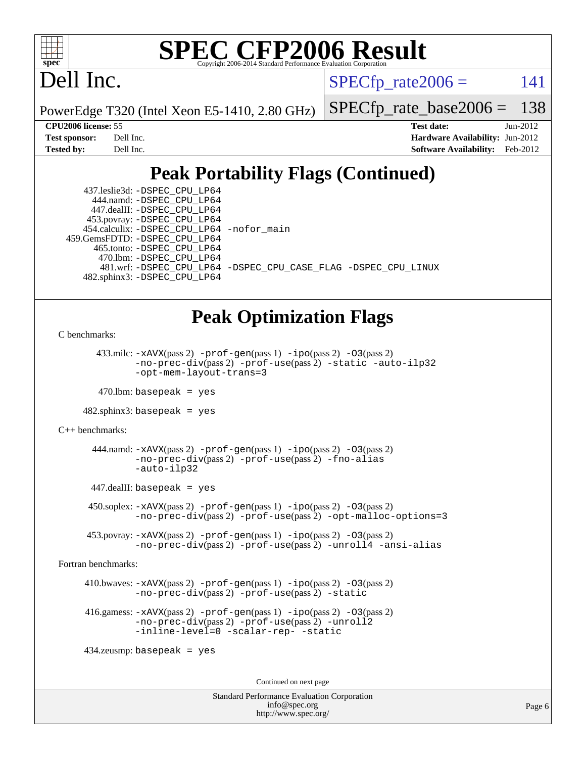

## Dell Inc.

 $SPECTp\_rate2006 = 141$ 

PowerEdge T320 (Intel Xeon E5-1410, 2.80 GHz)

[SPECfp\\_rate\\_base2006 =](http://www.spec.org/auto/cpu2006/Docs/result-fields.html#SPECfpratebase2006) 138

**[CPU2006 license:](http://www.spec.org/auto/cpu2006/Docs/result-fields.html#CPU2006license)** 55 **[Test date:](http://www.spec.org/auto/cpu2006/Docs/result-fields.html#Testdate)** Jun-2012 **[Test sponsor:](http://www.spec.org/auto/cpu2006/Docs/result-fields.html#Testsponsor)** Dell Inc. **[Hardware Availability:](http://www.spec.org/auto/cpu2006/Docs/result-fields.html#HardwareAvailability)** Jun-2012 **[Tested by:](http://www.spec.org/auto/cpu2006/Docs/result-fields.html#Testedby)** Dell Inc. **[Software Availability:](http://www.spec.org/auto/cpu2006/Docs/result-fields.html#SoftwareAvailability)** Feb-2012

## **[Peak Portability Flags \(Continued\)](http://www.spec.org/auto/cpu2006/Docs/result-fields.html#PeakPortabilityFlags)**

 437.leslie3d: [-DSPEC\\_CPU\\_LP64](http://www.spec.org/cpu2006/results/res2012q3/cpu2006-20120730-23944.flags.html#suite_peakPORTABILITY437_leslie3d_DSPEC_CPU_LP64) 444.namd: [-DSPEC\\_CPU\\_LP64](http://www.spec.org/cpu2006/results/res2012q3/cpu2006-20120730-23944.flags.html#suite_peakPORTABILITY444_namd_DSPEC_CPU_LP64) 447.dealII: [-DSPEC\\_CPU\\_LP64](http://www.spec.org/cpu2006/results/res2012q3/cpu2006-20120730-23944.flags.html#suite_peakPORTABILITY447_dealII_DSPEC_CPU_LP64) 453.povray: [-DSPEC\\_CPU\\_LP64](http://www.spec.org/cpu2006/results/res2012q3/cpu2006-20120730-23944.flags.html#suite_peakPORTABILITY453_povray_DSPEC_CPU_LP64) 454.calculix: [-DSPEC\\_CPU\\_LP64](http://www.spec.org/cpu2006/results/res2012q3/cpu2006-20120730-23944.flags.html#suite_peakPORTABILITY454_calculix_DSPEC_CPU_LP64) [-nofor\\_main](http://www.spec.org/cpu2006/results/res2012q3/cpu2006-20120730-23944.flags.html#user_peakLDPORTABILITY454_calculix_f-nofor_main) 459.GemsFDTD: [-DSPEC\\_CPU\\_LP64](http://www.spec.org/cpu2006/results/res2012q3/cpu2006-20120730-23944.flags.html#suite_peakPORTABILITY459_GemsFDTD_DSPEC_CPU_LP64) 465.tonto: [-DSPEC\\_CPU\\_LP64](http://www.spec.org/cpu2006/results/res2012q3/cpu2006-20120730-23944.flags.html#suite_peakPORTABILITY465_tonto_DSPEC_CPU_LP64) 470.lbm: [-DSPEC\\_CPU\\_LP64](http://www.spec.org/cpu2006/results/res2012q3/cpu2006-20120730-23944.flags.html#suite_peakPORTABILITY470_lbm_DSPEC_CPU_LP64) 481.wrf: [-DSPEC\\_CPU\\_LP64](http://www.spec.org/cpu2006/results/res2012q3/cpu2006-20120730-23944.flags.html#suite_peakPORTABILITY481_wrf_DSPEC_CPU_LP64) [-DSPEC\\_CPU\\_CASE\\_FLAG](http://www.spec.org/cpu2006/results/res2012q3/cpu2006-20120730-23944.flags.html#b481.wrf_peakCPORTABILITY_DSPEC_CPU_CASE_FLAG) [-DSPEC\\_CPU\\_LINUX](http://www.spec.org/cpu2006/results/res2012q3/cpu2006-20120730-23944.flags.html#b481.wrf_peakCPORTABILITY_DSPEC_CPU_LINUX) 482.sphinx3: [-DSPEC\\_CPU\\_LP64](http://www.spec.org/cpu2006/results/res2012q3/cpu2006-20120730-23944.flags.html#suite_peakPORTABILITY482_sphinx3_DSPEC_CPU_LP64)

### **[Peak Optimization Flags](http://www.spec.org/auto/cpu2006/Docs/result-fields.html#PeakOptimizationFlags)**

[C benchmarks](http://www.spec.org/auto/cpu2006/Docs/result-fields.html#Cbenchmarks):

433.milc:  $-x$ AVX(pass 2)  $-p$ rof-gen(pass 1)  $-p$ ipo(pass 2)  $-03$ (pass 2) [-no-prec-div](http://www.spec.org/cpu2006/results/res2012q3/cpu2006-20120730-23944.flags.html#user_peakPASS2_CFLAGSPASS2_LDFLAGS433_milc_f-no-prec-div)(pass 2) [-prof-use](http://www.spec.org/cpu2006/results/res2012q3/cpu2006-20120730-23944.flags.html#user_peakPASS2_CFLAGSPASS2_LDFLAGS433_milc_prof_use_bccf7792157ff70d64e32fe3e1250b55)(pass 2) [-static](http://www.spec.org/cpu2006/results/res2012q3/cpu2006-20120730-23944.flags.html#user_peakOPTIMIZE433_milc_f-static) [-auto-ilp32](http://www.spec.org/cpu2006/results/res2012q3/cpu2006-20120730-23944.flags.html#user_peakCOPTIMIZE433_milc_f-auto-ilp32) [-opt-mem-layout-trans=3](http://www.spec.org/cpu2006/results/res2012q3/cpu2006-20120730-23944.flags.html#user_peakCOPTIMIZE433_milc_f-opt-mem-layout-trans_a7b82ad4bd7abf52556d4961a2ae94d5)

 $470$ .lbm: basepeak = yes

482.sphinx3: basepeak = yes

[C++ benchmarks:](http://www.spec.org/auto/cpu2006/Docs/result-fields.html#CXXbenchmarks)

444.namd:  $-xAVX(pass 2)$  $-xAVX(pass 2)$  [-prof-gen](http://www.spec.org/cpu2006/results/res2012q3/cpu2006-20120730-23944.flags.html#user_peakPASS1_CXXFLAGSPASS1_LDFLAGS444_namd_prof_gen_e43856698f6ca7b7e442dfd80e94a8fc)(pass 1) [-ipo](http://www.spec.org/cpu2006/results/res2012q3/cpu2006-20120730-23944.flags.html#user_peakPASS2_CXXFLAGSPASS2_LDFLAGS444_namd_f-ipo)(pass 2) [-O3](http://www.spec.org/cpu2006/results/res2012q3/cpu2006-20120730-23944.flags.html#user_peakPASS2_CXXFLAGSPASS2_LDFLAGS444_namd_f-O3)(pass 2) [-no-prec-div](http://www.spec.org/cpu2006/results/res2012q3/cpu2006-20120730-23944.flags.html#user_peakPASS2_CXXFLAGSPASS2_LDFLAGS444_namd_f-no-prec-div)(pass 2) [-prof-use](http://www.spec.org/cpu2006/results/res2012q3/cpu2006-20120730-23944.flags.html#user_peakPASS2_CXXFLAGSPASS2_LDFLAGS444_namd_prof_use_bccf7792157ff70d64e32fe3e1250b55)(pass 2) [-fno-alias](http://www.spec.org/cpu2006/results/res2012q3/cpu2006-20120730-23944.flags.html#user_peakCXXOPTIMIZE444_namd_f-no-alias_694e77f6c5a51e658e82ccff53a9e63a) [-auto-ilp32](http://www.spec.org/cpu2006/results/res2012q3/cpu2006-20120730-23944.flags.html#user_peakCXXOPTIMIZE444_namd_f-auto-ilp32)

447.dealII: basepeak = yes

 $450$ .soplex:  $-x$ AVX(pass 2)  $-p$ rof-gen(pass 1)  $-i$ po(pass 2)  $-03$ (pass 2) [-no-prec-div](http://www.spec.org/cpu2006/results/res2012q3/cpu2006-20120730-23944.flags.html#user_peakPASS2_CXXFLAGSPASS2_LDFLAGS450_soplex_f-no-prec-div)(pass 2) [-prof-use](http://www.spec.org/cpu2006/results/res2012q3/cpu2006-20120730-23944.flags.html#user_peakPASS2_CXXFLAGSPASS2_LDFLAGS450_soplex_prof_use_bccf7792157ff70d64e32fe3e1250b55)(pass 2) [-opt-malloc-options=3](http://www.spec.org/cpu2006/results/res2012q3/cpu2006-20120730-23944.flags.html#user_peakOPTIMIZE450_soplex_f-opt-malloc-options_13ab9b803cf986b4ee62f0a5998c2238)

 453.povray: [-xAVX](http://www.spec.org/cpu2006/results/res2012q3/cpu2006-20120730-23944.flags.html#user_peakPASS2_CXXFLAGSPASS2_LDFLAGS453_povray_f-xAVX)(pass 2) [-prof-gen](http://www.spec.org/cpu2006/results/res2012q3/cpu2006-20120730-23944.flags.html#user_peakPASS1_CXXFLAGSPASS1_LDFLAGS453_povray_prof_gen_e43856698f6ca7b7e442dfd80e94a8fc)(pass 1) [-ipo](http://www.spec.org/cpu2006/results/res2012q3/cpu2006-20120730-23944.flags.html#user_peakPASS2_CXXFLAGSPASS2_LDFLAGS453_povray_f-ipo)(pass 2) [-O3](http://www.spec.org/cpu2006/results/res2012q3/cpu2006-20120730-23944.flags.html#user_peakPASS2_CXXFLAGSPASS2_LDFLAGS453_povray_f-O3)(pass 2) [-no-prec-div](http://www.spec.org/cpu2006/results/res2012q3/cpu2006-20120730-23944.flags.html#user_peakPASS2_CXXFLAGSPASS2_LDFLAGS453_povray_f-no-prec-div)(pass 2) [-prof-use](http://www.spec.org/cpu2006/results/res2012q3/cpu2006-20120730-23944.flags.html#user_peakPASS2_CXXFLAGSPASS2_LDFLAGS453_povray_prof_use_bccf7792157ff70d64e32fe3e1250b55)(pass 2) [-unroll4](http://www.spec.org/cpu2006/results/res2012q3/cpu2006-20120730-23944.flags.html#user_peakCXXOPTIMIZE453_povray_f-unroll_4e5e4ed65b7fd20bdcd365bec371b81f) [-ansi-alias](http://www.spec.org/cpu2006/results/res2012q3/cpu2006-20120730-23944.flags.html#user_peakCXXOPTIMIZE453_povray_f-ansi-alias)

[Fortran benchmarks](http://www.spec.org/auto/cpu2006/Docs/result-fields.html#Fortranbenchmarks):

 410.bwaves: [-xAVX](http://www.spec.org/cpu2006/results/res2012q3/cpu2006-20120730-23944.flags.html#user_peakPASS2_FFLAGSPASS2_LDFLAGS410_bwaves_f-xAVX)(pass 2) [-prof-gen](http://www.spec.org/cpu2006/results/res2012q3/cpu2006-20120730-23944.flags.html#user_peakPASS1_FFLAGSPASS1_LDFLAGS410_bwaves_prof_gen_e43856698f6ca7b7e442dfd80e94a8fc)(pass 1) [-ipo](http://www.spec.org/cpu2006/results/res2012q3/cpu2006-20120730-23944.flags.html#user_peakPASS2_FFLAGSPASS2_LDFLAGS410_bwaves_f-ipo)(pass 2) [-O3](http://www.spec.org/cpu2006/results/res2012q3/cpu2006-20120730-23944.flags.html#user_peakPASS2_FFLAGSPASS2_LDFLAGS410_bwaves_f-O3)(pass 2) [-no-prec-div](http://www.spec.org/cpu2006/results/res2012q3/cpu2006-20120730-23944.flags.html#user_peakPASS2_FFLAGSPASS2_LDFLAGS410_bwaves_f-no-prec-div)(pass 2) [-prof-use](http://www.spec.org/cpu2006/results/res2012q3/cpu2006-20120730-23944.flags.html#user_peakPASS2_FFLAGSPASS2_LDFLAGS410_bwaves_prof_use_bccf7792157ff70d64e32fe3e1250b55)(pass 2) [-static](http://www.spec.org/cpu2006/results/res2012q3/cpu2006-20120730-23944.flags.html#user_peakOPTIMIZE410_bwaves_f-static)

 416.gamess: [-xAVX](http://www.spec.org/cpu2006/results/res2012q3/cpu2006-20120730-23944.flags.html#user_peakPASS2_FFLAGSPASS2_LDFLAGS416_gamess_f-xAVX)(pass 2) [-prof-gen](http://www.spec.org/cpu2006/results/res2012q3/cpu2006-20120730-23944.flags.html#user_peakPASS1_FFLAGSPASS1_LDFLAGS416_gamess_prof_gen_e43856698f6ca7b7e442dfd80e94a8fc)(pass 1) [-ipo](http://www.spec.org/cpu2006/results/res2012q3/cpu2006-20120730-23944.flags.html#user_peakPASS2_FFLAGSPASS2_LDFLAGS416_gamess_f-ipo)(pass 2) [-O3](http://www.spec.org/cpu2006/results/res2012q3/cpu2006-20120730-23944.flags.html#user_peakPASS2_FFLAGSPASS2_LDFLAGS416_gamess_f-O3)(pass 2) [-no-prec-div](http://www.spec.org/cpu2006/results/res2012q3/cpu2006-20120730-23944.flags.html#user_peakPASS2_FFLAGSPASS2_LDFLAGS416_gamess_f-no-prec-div)(pass 2) [-prof-use](http://www.spec.org/cpu2006/results/res2012q3/cpu2006-20120730-23944.flags.html#user_peakPASS2_FFLAGSPASS2_LDFLAGS416_gamess_prof_use_bccf7792157ff70d64e32fe3e1250b55)(pass 2) [-unroll2](http://www.spec.org/cpu2006/results/res2012q3/cpu2006-20120730-23944.flags.html#user_peakOPTIMIZE416_gamess_f-unroll_784dae83bebfb236979b41d2422d7ec2) [-inline-level=0](http://www.spec.org/cpu2006/results/res2012q3/cpu2006-20120730-23944.flags.html#user_peakOPTIMIZE416_gamess_f-inline-level_318d07a09274ad25e8d15dbfaa68ba50) [-scalar-rep-](http://www.spec.org/cpu2006/results/res2012q3/cpu2006-20120730-23944.flags.html#user_peakOPTIMIZE416_gamess_f-disablescalarrep_abbcad04450fb118e4809c81d83c8a1d) [-static](http://www.spec.org/cpu2006/results/res2012q3/cpu2006-20120730-23944.flags.html#user_peakOPTIMIZE416_gamess_f-static)

434.zeusmp: basepeak = yes

Continued on next page

Standard Performance Evaluation Corporation [info@spec.org](mailto:info@spec.org) <http://www.spec.org/>